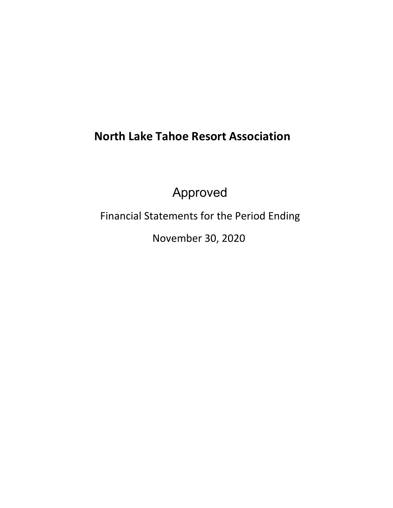# **North Lake Tahoe Resort Association**

Approved

Financial Statements for the Period Ending

November 30, 2020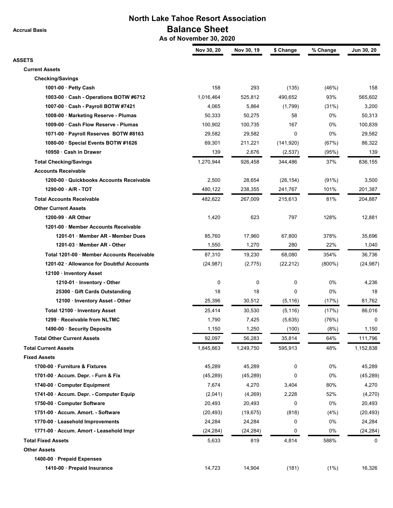**Accrual Basis**

# **North Lake Tahoe Resort Association Balance Sheet**

 **As of November 30, 2020**

|                                           | Nov 30, 20  | Nov 30, 19 | \$ Change   | % Change  | Jun 30, 20 |
|-------------------------------------------|-------------|------------|-------------|-----------|------------|
| <b>ASSETS</b>                             |             |            |             |           |            |
| <b>Current Assets</b>                     |             |            |             |           |            |
| <b>Checking/Savings</b>                   |             |            |             |           |            |
| 1001-00 $\cdot$ Petty Cash                | 158         | 293        | (135)       | (46%)     | 158        |
| 1003-00 Cash - Operations BOTW #6712      | 1,016,464   | 525,812    | 490,652     | 93%       | 565,602    |
| 1007-00 Cash - Payroll BOTW #7421         | 4,065       | 5,864      | (1,799)     | (31%)     | 3,200      |
| 1008-00 · Marketing Reserve - Plumas      | 50,333      | 50,275     | 58          | 0%        | 50,313     |
| 1009-00 Cash Flow Reserve - Plumas        | 100,902     | 100,735    | 167         | 0%        | 100,839    |
| 1071-00 · Payroll Reserves BOTW #8163     | 29,582      | 29,582     | 0           | 0%        | 29,582     |
| 1080-00 · Special Events BOTW #1626       | 69,301      | 211,221    | (141, 920)  | (67%)     | 86,322     |
| 10950 Cash in Drawer                      | 139         | 2,676      | (2,537)     | (95%)     | 139        |
| <b>Total Checking/Savings</b>             | 1,270,944   | 926,458    | 344,486     | 37%       | 836,155    |
| <b>Accounts Receivable</b>                |             |            |             |           |            |
| 1200-00 Quickbooks Accounts Receivable    | 2,500       | 28,654     | (26, 154)   | (91%)     | 3,500      |
| 1290-00 A/R - TOT                         | 480,122     | 238,355    | 241,767     | 101%      | 201,387    |
| <b>Total Accounts Receivable</b>          | 482,622     | 267,009    | 215,613     | 81%       | 204,887    |
| <b>Other Current Assets</b>               |             |            |             |           |            |
| 1200-99 AR Other                          | 1,420       | 623        | 797         | 128%      | 12,881     |
| 1201-00 Member Accounts Receivable        |             |            |             |           |            |
| 1201-01 · Member AR - Member Dues         | 85,760      | 17,960     | 67,800      | 378%      | 35,696     |
| 1201-03 · Member AR - Other               | 1,550       | 1,270      | 280         | 22%       | 1,040      |
| Total 1201-00 Member Accounts Receivable  | 87,310      | 19,230     | 68,080      | 354%      | 36,736     |
| 1201-02 · Allowance for Doubtful Accounts | (24, 987)   | (2, 775)   | (22, 212)   | $(800\%)$ | (24, 987)  |
| 12100 · Inventory Asset                   |             |            |             |           |            |
| 1210-01 Inventory - Other                 | $\mathbf 0$ | 0          | $\mathbf 0$ | 0%        | 4,236      |
| 25300 Gift Cards Outstanding              | 18          | 18         | 0           | 0%        | 18         |
| 12100 · Inventory Asset - Other           | 25,396      | 30,512     | (5, 116)    | (17%)     | 81,762     |
| Total 12100 · Inventory Asset             | 25,414      | 30,530     | (5, 116)    | (17%)     | 86,016     |
| 1299 · Receivable from NLTMC              | 1,790       | 7,425      | (5,635)     | (76%)     | 0          |
| 1490-00 · Security Deposits               | 1,150       | 1,250      | (100)       | (8%)      | 1,150      |
| <b>Total Other Current Assets</b>         | 92,097      | 56,283     | 35,814      | 64%       | 111,796    |
| <b>Total Current Assets</b>               | 1,845,663   | 1,249,750  | 595,913     | 48%       | 1,152,838  |
| <b>Fixed Assets</b>                       |             |            |             |           |            |
| 1700-00 · Furniture & Fixtures            | 45,289      | 45,289     | 0           | 0%        | 45,289     |
| 1701-00 Accum. Depr. - Furn & Fix         | (45, 289)   | (45, 289)  | 0           | 0%        | (45, 289)  |
| 1740-00 Computer Equipment                | 7,674       | 4,270      | 3,404       | 80%       | 4,270      |
| 1741-00 · Accum. Depr. - Computer Equip   | (2,041)     | (4,269)    | 2,228       | 52%       | (4,270)    |
| 1750-00 Computer Software                 | 20,493      | 20,493     | 0           | 0%        | 20,493     |
| 1751-00 Accum. Amort. - Software          | (20, 493)   | (19, 675)  | (818)       | (4%)      | (20, 493)  |
| 1770-00 · Leasehold Improvements          | 24,284      | 24,284     | 0           | 0%        | 24,284     |
| 1771-00 · Accum. Amort - Leasehold Impr   | (24, 284)   | (24, 284)  | 0           | 0%        | (24, 284)  |
| <b>Total Fixed Assets</b>                 | 5,633       | 819        | 4,814       | 588%      | 0          |
| <b>Other Assets</b>                       |             |            |             |           |            |
|                                           |             |            |             |           |            |
| 1400-00 · Prepaid Expenses                |             |            |             |           |            |
| 1410-00 · Prepaid Insurance               | 14,723      | 14,904     | (181)       | (1%)      | 16,326     |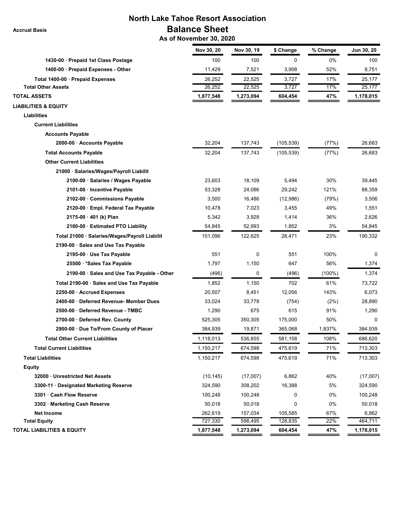**Accrual Basis**

# **North Lake Tahoe Resort Association Balance Sheet**

 **As of November 30, 2020**

|                                               | Nov 30, 20 | Nov 30, 19 | \$ Change  | % Change  | Jun 30, 20 |
|-----------------------------------------------|------------|------------|------------|-----------|------------|
| 1430-00 · Prepaid 1st Class Postage           | 100        | 100        | 0          | 0%        | 100        |
| 1400-00 · Prepaid Expenses - Other            | 11,429     | 7,521      | 3,908      | 52%       | 8,751      |
| Total 1400-00 · Prepaid Expenses              | 26,252     | 22,525     | 3,727      | 17%       | 25,177     |
| <b>Total Other Assets</b>                     | 26,252     | 22,525     | 3,727      | 17%       | 25,177     |
| <b>TOTAL ASSETS</b>                           | 1,877,548  | 1,273,094  | 604,454    | 47%       | 1,178,015  |
| <b>LIABILITIES &amp; EQUITY</b>               |            |            |            |           |            |
| Liabilities                                   |            |            |            |           |            |
| <b>Current Liabilities</b>                    |            |            |            |           |            |
| <b>Accounts Payable</b>                       |            |            |            |           |            |
| 2000-00 · Accounts Payable                    | 32,204     | 137,743    | (105, 539) | (77%)     | 26,683     |
| <b>Total Accounts Payable</b>                 | 32,204     | 137,743    | (105,539)  | (77%)     | 26,683     |
| <b>Other Current Liabilities</b>              |            |            |            |           |            |
| 21000 · Salaries/Wages/Payroll Liabilit       |            |            |            |           |            |
| 2100-00 · Salaries / Wages Payable            | 23,603     | 18.109     | 5,494      | 30%       | 39,445     |
| 2101-00 · Incentive Payable                   | 53,328     | 24,086     | 29,242     | 121%      | 88,359     |
| 2102-00 Commissions Payable                   | 3,500      | 16,486     | (12,986)   | (79%)     | 3,506      |
| 2120-00 Empl. Federal Tax Payable             | 10,478     | 7,023      | 3,455      | 49%       | 1,551      |
| 2175-00 · 401 (k) Plan                        | 5,342      | 3,928      | 1,414      | 36%       | 2,626      |
| 2180-00 · Estimated PTO Liability             | 54,845     | 52,993     | 1,852      | 3%        | 54,845     |
| Total 21000 · Salaries/Wages/Payroll Liabilit | 151,096    | 122,625    | 28,471     | 23%       | 190,332    |
| 2190-00 Sales and Use Tax Payable             |            |            |            |           |            |
| 2195-00 · Use Tax Payable                     | 551        | 0          | 551        | 100%      | 0          |
| 25500 * Sales Tax Payable                     | 1,797      | 1,150      | 647        | 56%       | 1,374      |
| 2190-00 · Sales and Use Tax Payable - Other   | (496)      | 0          | (496)      | $(100\%)$ | 1,374      |
| Total 2190-00 · Sales and Use Tax Payable     | 1,852      | 1,150      | 702        | 61%       | 73,722     |
| 2250-00 · Accrued Expenses                    | 20,507     | 8,451      | 12,056     | 143%      | 6,073      |
| 2400-60 Deferred Revenue- Member Dues         | 33,024     | 33,778     | (754)      | (2%)      | 28,890     |
| 2500-00 Deferred Revenue - TMBC               | 1,290      | 675        | 615        | 91%       | 1,290      |
| 2700-00 Deferred Rev. County                  | 525,305    | 350.305    | 175,000    | 50%       | 0          |
| 2900-00 · Due To/From County of Placer        | 384,939    | 19,871     | 365,068    | 1,837%    | 384.939    |
| <b>Total Other Current Liabilities</b>        | 1,118,013  | 536,855    | 581,158    | 108%      | 686,620    |
| <b>Total Current Liabilities</b>              | 1,150,217  | 674,598    | 475,619    | 71%       | 713,303    |
| <b>Total Liabilities</b>                      | 1,150,217  | 674,598    | 475,619    | 71%       | 713,303    |
| <b>Equity</b>                                 |            |            |            |           |            |
| 32000 Unrestricted Net Assets                 | (10, 145)  | (17,007)   | 6,862      | 40%       | (17,007)   |
| 3300-11 Designated Marketing Reserve          | 324,590    | 308,202    | 16,388     | 5%        | 324,590    |
| 3301 Cash Flow Reserve                        | 100,248    | 100,248    | 0          | 0%        | 100,248    |
| 3302 · Marketing Cash Reserve                 | 50,018     | 50,018     | 0          | 0%        | 50,018     |
| <b>Net Income</b>                             | 262,619    | 157,034    | 105,585    | 67%       | 6,862      |
| <b>Total Equity</b>                           | 727,330    | 598,495    | 128,835    | 22%       | 464,711    |
| <b>TOTAL LIABILITIES &amp; EQUITY</b>         | 1,877,548  | 1,273,094  | 604,454    | 47%       | 1,178,015  |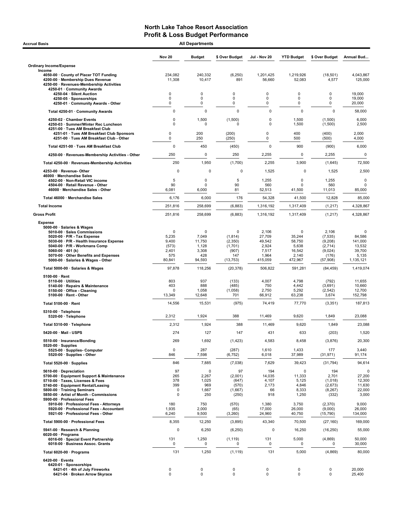| <b>Accrual Basis</b>                                                                                                                                          |                       | <b>All Departments</b> |                          |                           |                           |                                 |                            |
|---------------------------------------------------------------------------------------------------------------------------------------------------------------|-----------------------|------------------------|--------------------------|---------------------------|---------------------------|---------------------------------|----------------------------|
|                                                                                                                                                               | <b>Nov 20</b>         | <b>Budget</b>          | \$ Over Budget           | Jul - Nov 20              | <b>YTD Budget</b>         | \$ Over Budget                  | Annual Bud                 |
| <b>Ordinary Income/Expense</b>                                                                                                                                |                       |                        |                          |                           |                           |                                 |                            |
| Income<br>4050-00 County of Placer TOT Funding<br>4200-00 · Membership Dues Revenue<br>4250-00 · Revenues-Membership Activities<br>4250-01 · Community Awards | 234,082<br>11,308     | 240.332<br>10,417      | (6, 250)<br>891          | 1.201.425<br>56,660       | 1,219,926<br>52,083       | (18, 501)<br>4,577              | 4,043,867<br>125,000       |
| 4250-04 · Silent Auction<br>4250-05 · Sponsorships<br>4250-01 · Community Awards - Other                                                                      | 0<br>0<br>0           | 0<br>0<br>0            | 0<br>0<br>$\mathbf 0$    | 0<br>0<br>0               | 0<br>0<br>0               | 0<br>0<br>0                     | 19,000<br>19,000<br>20,000 |
| Total 4250-01 · Community Awards                                                                                                                              | 0                     | $\mathbf 0$            | 0                        | $\mathbf 0$               | $\mathbf 0$               | $\mathbf 0$                     | 58,000                     |
| 4250-02 · Chamber Events<br>4250-03 · Summer/Winter Rec Luncheon<br>4251-00 · Tues AM Breakfast Club                                                          | 0<br>0                | 1,500<br>$\mathbf 0$   | (1,500)<br>$\Omega$      | 0<br>0                    | 1,500<br>1,500            | (1,500)<br>(1,500)              | 6,000<br>2,500             |
| 4251-01 · Tues AM Breakfast Club Sponsors<br>4251-00 · Tues AM Breakfast Club - Other                                                                         | 0<br>0                | 200<br>250             | (200)<br>(250)           | $\mathbf 0$<br>0          | 400<br>500                | (400)<br>(500)                  | 2,000<br>4,000             |
| Total 4251-00 · Tues AM Breakfast Club                                                                                                                        | 0                     | 450                    | (450)                    | 0                         | 900                       | (900)                           | 6,000                      |
| 4250-00 · Revenues-Membership Activities - Other                                                                                                              | 250                   | 0                      | 250                      | 2,255                     | 0                         | 2,255                           | 0                          |
| Total 4250-00 · Revenues-Membership Activities                                                                                                                | 250                   | 1,950                  | (1,700)                  | 2,255                     | 3,900                     | (1,645)                         | 72,500                     |
| 4253-00 · Revenue-Other<br>46000 · Merchandise Sales<br>4502-00 · Non-Retail VIC income                                                                       | $\Omega$<br>5         | $\mathbf 0$<br>0       | 0<br>5                   | 1,525<br>1,255            | $\mathbf 0$<br>0          | 1,525<br>1,255                  | 2,500<br>0                 |
| 4504-00 · Retail Revenue - Other<br>46000 · Merchandise Sales - Other                                                                                         | 90<br>6,081           | 0<br>6,000             | 90<br>81                 | 560<br>52,513             | $\Omega$<br>41,500        | 560<br>11,013                   | 0<br>85,000                |
| Total 46000 · Merchandise Sales                                                                                                                               | 6,176                 | 6,000                  | 176                      | 54,328                    | 41,500                    | 12,828                          | 85,000                     |
| <b>Total Income</b>                                                                                                                                           | 251,816               | 258,699                | (6, 883)                 | 1,316,192                 | 1,317,409                 | (1, 217)                        | 4,328,867                  |
| <b>Gross Profit</b>                                                                                                                                           | 251,816               | 258,699                | (6,883)                  | 1,316,192                 | 1,317,409                 | (1, 217)                        | 4,328,867                  |
| <b>Expense</b><br>5000-00 · Salaries & Wages<br>5010-00 · Sales Commissions<br>5020-00 $\cdot$ P/R - Tax Expense                                              | 0<br>5,235            | $\mathbf 0$<br>7,049   | $\Omega$<br>(1, 814)     | 2,106<br>27,709           | 0<br>35,244               | 2,106<br>(7, 535)               | 0<br>84,586                |
| 5030-00 · P/R - Health Insurance Expense                                                                                                                      | 9,400                 | 11,750                 | (2, 350)                 | 49,542                    | 58,750                    | (9,208)                         | 141,000                    |
| 5040-00 · P/R - Workmans Comp<br>5060-00 $\cdot$ 401 (k)                                                                                                      | (573)<br>2,401        | 1,128<br>3,308         | (1,701)<br>(907)         | 2,924<br>7,517            | 5,638<br>16,542           | (2,714)<br>(9,024)              | 13,532<br>39,700           |
| 5070-00 Other Benefits and Expenses<br>5000-00 · Salaries & Wages - Other                                                                                     | 575<br>80,841         | 428<br>94,593          | 147<br>(13, 753)         | 1,964<br>415,059          | 2,140<br>472,967          | (176)<br>(57, 908)              | 5,135<br>1,135,121         |
| Total 5000-00 · Salaries & Wages                                                                                                                              | 97,878                | 118,256                | (20, 378)                | 506,822                   | 591,281                   | (84, 459)                       | 1,419,074                  |
| $5100-00 \cdot$ Rent                                                                                                                                          |                       |                        |                          |                           |                           |                                 |                            |
| $5110-00 \cdot$ Utilities                                                                                                                                     | 803                   | 937                    | (133)                    | 4,007                     | 4,798                     | (792)                           | 11,655                     |
| 5140-00 · Repairs & Maintenance<br>5150-00 · Office - Cleaning                                                                                                | 403<br>0              | 888<br>1,058           | (485)<br>(1,058)         | 750<br>2,750              | 4,442<br>5,292            | (3,691)<br>(2, 542)             | 10,660<br>12,700           |
| $5100-00 \cdot$ Rent - Other                                                                                                                                  | 13,349                | 12,648                 | 701                      | 66,912                    | 63,238                    | 3,674                           | 152,798                    |
| Total 5100-00 · Rent                                                                                                                                          | 14,556                | 15,531                 | (975)                    | 74,419                    | 77,770                    | (3, 351)                        | 187,813                    |
| $5310-00 \cdot$ Telephone<br>5320-00 · Telephone                                                                                                              | 2,312                 | 1,924                  | 388                      | 11,469                    | 9,620                     | 1,849                           | 23,088                     |
| Total 5310-00 · Telephone                                                                                                                                     | 2,312                 | 1,924                  | 388                      | 11,469                    | 9,620                     | 1,849                           | 23,088                     |
| 5420-00 · Mail - USPS                                                                                                                                         | 274                   | 127                    | 147                      | 431                       | 633                       | (203)                           | 1,520                      |
| 5510-00 · Insurance/Bonding                                                                                                                                   | 269                   | 1,692                  | (1, 423)                 | 4,583                     | 8,458                     | (3,876)                         | 20,300                     |
| $5520-00 \cdot$ Supplies<br>5525-00 · Supplies- Computer<br>5520-00 · Supplies - Other                                                                        | 0<br>846              | 287<br>7,598           | (287)<br>(6, 752)        | 1,610<br>6,018            | 1,433<br>37,989           | 177<br>(31, 971)                | 3,440<br>91,174            |
| Total 5520-00 · Supplies                                                                                                                                      | 846                   | 7,885                  | (7,038)                  | 7,629                     | 39,423                    | (31, 794)                       | 94,614                     |
| 5610-00 · Depreciation                                                                                                                                        | 97                    | $\mathbf 0$            | 97                       | 194                       | 0                         | 194                             | 0                          |
| 5700-00 · Equipment Support & Maintenance                                                                                                                     | 265                   | 2,267                  | (2,001)                  | 14,035                    | 11,333                    | 2,701                           | 27,200                     |
| 5710-00 · Taxes, Licenses & Fees<br>5740-00 · Equipment Rental/Leasing                                                                                        | 378<br>399            | 1,025<br>969           | (647)<br>(570)           | 4,107<br>2,173            | 5,125<br>4,846            | (1,018)<br>(2,673)              | 12,300<br>11,630           |
| 5800-00 · Training Seminars<br>5850-00 · Artist of Month - Commissions<br>5900-00 · Professional Fees                                                         | 0<br>0                | 1,667<br>250           | (1,667)<br>(250)         | 66<br>918                 | 8,333<br>1,250            | (8, 267)<br>(332)               | 22,000<br>3,000            |
| 5910-00 · Professional Fees - Attorneys<br>5920-00 · Professional Fees - Accountant<br>5921-00 · Professional Fees - Other                                    | 180<br>1,935<br>6,240 | 750<br>2,000<br>9,500  | (570)<br>(65)<br>(3,260) | 1,380<br>17,000<br>24,960 | 3,750<br>26,000<br>40,750 | (2,370)<br>(9,000)<br>(15, 790) | 9,000<br>26,000<br>134,000 |
| Total 5900-00 · Professional Fees                                                                                                                             | 8,355                 | 12,250                 | (3,895)                  | 43,340                    | 70,500                    | (27, 160)                       | 169,000                    |
| 5941-00 · Research & Planning                                                                                                                                 | $\mathbf 0$           | 6,250                  | (6, 250)                 | $\mathbf 0$               | 16,250                    | (16, 250)                       | 55,000                     |
| $6020-00 \cdot$ Programs<br>6016-00 · Special Event Partnership<br>6018-00 · Business Assoc. Grants                                                           | 131<br>0              | 1,250<br>0             | (1, 119)<br>$\mathbf 0$  | 131<br>0                  | 5,000<br>0                | (4,869)<br>0                    | 50,000<br>30,000           |
| Total 6020-00 · Programs                                                                                                                                      | 131                   | 1,250                  | (1, 119)                 | 131                       | 5,000                     | (4,869)                         | 80,000                     |
| 6420-00 · Events                                                                                                                                              |                       |                        |                          |                           |                           |                                 |                            |
| 6420-01 · Sponsorships<br>6421-01 · 4th of July Fireworks<br>6421-04 · Broken Arrow Skyrace                                                                   | 0<br>$\mathbf 0$      | 0<br>$\mathbf 0$       | 0<br>$\mathbf 0$         | 0<br>$\mathbf 0$          | 0<br>$\mathbf 0$          | 0<br>0                          | 20,000<br>25,400           |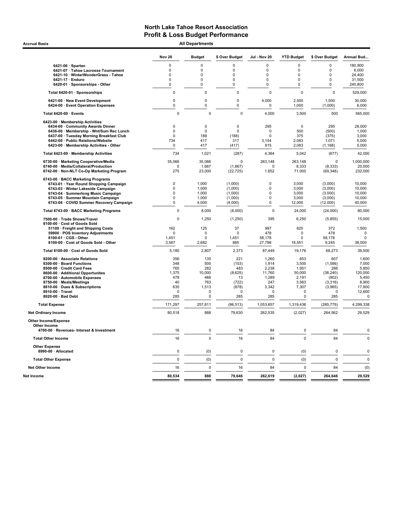Accrual Basis **Accrual Basis All Departments** 

|                                                                       | <b>Nov 20</b>      | <b>Budget</b>                 | \$ Over Budget   | Jul - Nov 20       | <b>YTD Budget</b>       | \$ Over Budget   | Annual Bud      |
|-----------------------------------------------------------------------|--------------------|-------------------------------|------------------|--------------------|-------------------------|------------------|-----------------|
| 6421-06 · Spartan                                                     | $\mathbf 0$        | $\Omega$                      | 0                | $\mathbf 0$        | $\Omega$                | $\overline{0}$   | 180,900         |
| 6421-07 · Tahoe Lacrosse Tournament                                   | 0                  | $\Omega$                      | 0                | 0                  | $\Omega$                | $\Omega$         | 6,000           |
| 6421-10 · WinterWonderGrass - Tahoe                                   | 0                  | 0                             | $\mathbf 0$      | 0                  | $\Omega$                | $\mathbf 0$      | 24,400          |
| 6421-17 · Enduro                                                      | 0                  | 0                             | 0                | 0                  | 0                       | 0                | 31,500          |
| 6420-01 · Sponsorships - Other                                        | 0                  | $\mathbf 0$                   | $\mathbf 0$      | 0                  | $\mathbf 0$             | $\mathbf 0$      | 240,800         |
| Total 6420-01 · Sponsorships                                          | $\mathbf 0$        | $\mathbf 0$                   | $\mathbf 0$      | $\mathbf 0$        | $\mathbf 0$             | $\mathbf 0$      | 529,000         |
| 6421-00 · New Event Development<br>6424-00 · Event Operation Expenses | $\mathbf 0$<br>0   | $\mathbf 0$<br>$\overline{0}$ | 0<br>$\mathbf 0$ | 4,000<br>0         | 2,500<br>1,000          | 1,500<br>(1,000) | 30.000<br>6,000 |
| Total 6420-00 · Events                                                | $\mathbf 0$        | $\mathbf 0$                   | $\mathbf 0$      | 4,000              | 3,500                   | 500              | 565,000         |
| 6423-00 · Membership Activities                                       |                    |                               |                  |                    |                         |                  |                 |
| 6434-00 Community Awards Dinner                                       | 0                  | $\mathbf 0$                   | $\mathbf 0$      | 295                | $\pmb{0}$               | 295              | 28,000          |
| 6436-00 · Membership - Wnt/Sum Rec Lunch                              | $\mathbf 0$        | $\mathbf 0$                   | $\mathbf 0$      | $\Omega$           | 500                     | (500)            | 1,000           |
| 6437-00 · Tuesday Morning Breakfast Club                              | $\mathbf 0$        | 188                           | (188)            | $\mathbf 0$        | 375                     | (375)            | 3,000           |
| 6442-00 · Public Relations/Website                                    | 734                | 417                           | 317              | 3,154              | 2,083                   | 1,071            | 5,000           |
| 6423-00 · Membership Activities - Other                               | 0                  | 417                           | (417)            | 915                | 2,083                   | (1, 168)         | 5,000           |
| Total 6423-00 · Membership Activities                                 | 734                | 1,021                         | (287)            | 4,364              | 5,042                   | (677)            | 42,000          |
| 6730-00 · Marketing Cooperative/Media                                 | 35,066             | 35,066                        | $\mathbf 0$      | 263,148            | 263,148                 | $\mathbf 0$      | 1,000,000       |
| 6740-00 · Media/Collateral/Production                                 | 0                  | 1,667                         | (1,667)          | 0                  | 8,333                   | (8, 333)         | 20,000          |
| 6742-00 · Non-NLT Co-Op Marketing Program                             | 275                | 23,000                        | (22, 725)        | 1,652              | 71,000                  | (69, 348)        | 232,000         |
| 6743-00 · BACC Marketing Programs                                     |                    |                               |                  |                    |                         |                  |                 |
| 6743-01 · Year Round Shopping Campaign                                | 0                  | 1,000                         | (1,000)          | $\Omega$           | 3,000                   | (3,000)          | 10,000          |
| 6743-03 · Winter Lakeside Campaign                                    | $\mathbf 0$        | 1.000                         | (1,000)          | $\mathbf 0$        | 3,000                   | (3,000)          | 10.000          |
| 6743-04 · Summerlong Music Campaign                                   | $\Omega$           | 1,000                         | (1,000)          | $\mathbf 0$        | 3,000                   | (3,000)          | 10,000          |
| 6743-05 · Summer Mountain Campaign                                    | $\mathbf 0$        | 1,000                         | (1,000)          | $\mathbf 0$        | 3,000                   | (3,000)          | 10,000          |
| 6743-06 · COVID Summer Recovery Campaign                              | 0                  | 4,000                         | (4,000)          | $\mathbf 0$        | 12,000                  | (12,000)         | 40,000          |
| Total 6743-00 · BACC Marketing Programs                               | $\mathbf 0$        | 8,000                         | (8,000)          | $\pmb{0}$          | 24,000                  | (24,000)         | 80,000          |
| 7500-00 · Trade Shows/Travel<br>8100-00 Cost of Goods Sold            | $\pmb{0}$          | 1,250                         | (1,250)          | 395                | 6,250                   | (5,855)          | 15,000          |
| 51100 · Freight and Shipping Costs                                    | 162                | 125                           | 37               | 997                | 625                     | 372              | 1,500           |
| 59900 · POS Inventory Adjustments                                     | $\mathbf 0$        | $\mathbf 0$                   | $\mathbf 0$      | 478                | $\mathbf 0$             | 478              | 0               |
| 8100-01 · CGS - Other                                                 | 1,451              | $\mathbf 0$                   | 1,451            | 58,178             | $\mathbf 0$             | 58,178           | $\Omega$        |
| 8100-00 · Cost of Goods Sold - Other                                  | 3,567              | 2,682                         | 885              | 27,796             | 18,551                  | 9,245            | 38,000          |
| Total 8100-00 · Cost of Goods Sold                                    | 5,180              | 2,807                         | 2,373            | 87,449             | 19,176                  | 68,273           | 39,500          |
| 8200-00 · Associate Relations                                         | 356                | 135                           | 221              | 1,260              | 653                     | 607              | 1,600           |
| 8300-00 · Board Functions                                             | 348                | 500                           | (153)            | 1,914              | 3,500                   | (1,586)          | 7,000           |
| 8500-00 · Credit Card Fees                                            | 765                | 282                           | 483              | 2,238              | 1,951                   | 288              | 5,850           |
| 8600-00 · Additional Opportunites                                     | 1,375              | 10,000                        | (8,625)          | 11,760             | 50,000                  | (38, 240)        | 120,000         |
| 8700-00 · Automobile Expenses                                         | 478                | 466                           | 13               | 1.289              | 2.191                   | (902)            | 5.450           |
| 8750-00 · Meals/Meetings                                              | 40                 | 763                           | (722)            | 247                | 3,563                   | (3, 316)         | 8,900           |
| 8810-00 Dues & Subscriptions                                          | 635                | 1,513                         | (878)            | 3,342              | 7,307                   | (3,965)          | 17,900          |
| 8910-00 · Travel<br>8920-00 · Bad Debt                                | $\mathbf 0$<br>285 | $\mathbf 0$<br>$\Omega$       | $\Omega$<br>285  | $\mathbf 0$<br>285 | $\mathbf 0$<br>$\Omega$ | $\Omega$<br>285  | 12,600<br>0     |
|                                                                       |                    |                               |                  |                    |                         |                  |                 |
| <b>Total Expense</b>                                                  | 171,297            | 257,811                       | (86, 513)        | 1,053,657          | 1,319,436               | (265, 779)       | 4,299,338       |
| <b>Net Ordinary Income</b>                                            | 80,518             | 888                           | 79,630           | 262,535            | (2,027)                 | 264,562          | 29,529          |
| <b>Other Income/Expense</b>                                           |                    |                               |                  |                    |                         |                  |                 |
| Other Income<br>4700-00 · Revenues- Interest & Investment             | 16                 | $\mathbf 0$                   | 16               | 84                 | 0                       | 84               | $\mathbf 0$     |
| <b>Total Other Income</b>                                             | 16                 | $\mathbf 0$                   | 16               | 84                 | $\mathbf 0$             | 84               | $\mathbf 0$     |
| <b>Other Expense</b>                                                  |                    |                               |                  |                    |                         |                  |                 |
| 8990-00 · Allocated                                                   | $\pmb{0}$          | (0)                           | $\mathbf 0$      | $\mathbf 0$        | (0)                     | $\pmb{0}$        | $\mathbf 0$     |
| <b>Total Other Expense</b>                                            | $\pmb{0}$          | (0)                           | $\mathbf 0$      | $\mathbf 0$        | (0)                     | $\mathbf 0$      | $\pmb{0}$       |
| <b>Net Other Income</b>                                               | 16                 | $\mathbf 0$                   | 16               | 84                 | 0                       | 84               | (0)             |
| Net Income                                                            | 80,534             | 888                           | 79,646           | 262,619            | (2,027)                 | 264,646          | 29,529          |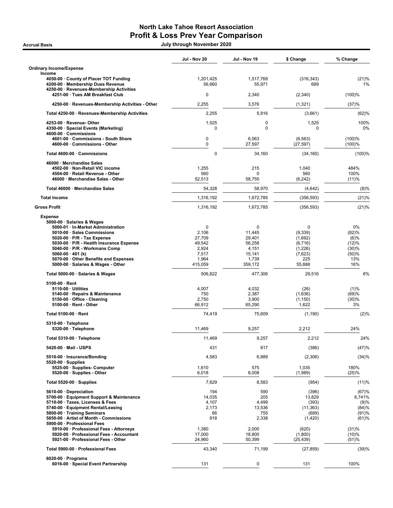## North Lake Tahoe Resort Association Profit & Loss Prev Year Comparison

Accrual Basis July through November 2020

|                                                                                                                                                                                   | Jul - Nov 20                                 | Jul - Nov 19                                  | \$ Change                                       | % Change                              |
|-----------------------------------------------------------------------------------------------------------------------------------------------------------------------------------|----------------------------------------------|-----------------------------------------------|-------------------------------------------------|---------------------------------------|
| <b>Ordinary Income/Expense</b><br>Income                                                                                                                                          |                                              |                                               |                                                 |                                       |
| 4050-00 County of Placer TOT Funding<br>4200-00 · Membership Dues Revenue                                                                                                         | 1,201,425<br>56,660                          | 1,517,768<br>55,971                           | (316, 343)<br>689                               | (21)%<br>1%                           |
| 4250-00 · Revenues-Membership Activities<br>4251-00 · Tues AM Breakfast Club                                                                                                      | 0                                            | 2,340                                         | (2,340)                                         | (100)%                                |
| 4250-00 · Revenues-Membership Activities - Other                                                                                                                                  | 2,255                                        | 3,576                                         | (1,321)                                         | (37)%                                 |
| Total 4250-00 · Revenues-Membership Activities                                                                                                                                    | 2,255                                        | 5,916                                         | (3,661)                                         | (62)%                                 |
| 4253-00 · Revenue- Other                                                                                                                                                          | 1,525                                        | 0                                             | 1,525                                           | 100%                                  |
| 4350-00 · Special Events (Marketing)<br>4600-00 · Commissions                                                                                                                     | $\Omega$                                     | $\Omega$                                      | $\Omega$                                        | 0%                                    |
| 4601-00 · Commissions - South Shore<br>4600-00 · Commissions - Other                                                                                                              | 0<br>$\mathbf 0$                             | 6,563<br>27,597                               | (6, 563)<br>(27, 597)                           | (100)%<br>(100)%                      |
| Total 4600-00 · Commissions                                                                                                                                                       | $\pmb{0}$                                    | 34,160                                        | (34, 160)                                       | (100)%                                |
| 46000 · Merchandise Sales                                                                                                                                                         |                                              |                                               |                                                 |                                       |
| 4502-00 · Non-Retail VIC income<br>4504-00 · Retail Revenue - Other                                                                                                               | 1,255<br>560                                 | 215<br>0                                      | 1,040<br>560                                    | 484%<br>100%                          |
| 46000 · Merchandise Sales - Other                                                                                                                                                 | 52,513                                       | 58,755                                        | (6, 242)                                        | (11)%                                 |
| Total 46000 Merchandise Sales                                                                                                                                                     | 54,328                                       | 58,970                                        | (4,642)                                         | (8)%                                  |
| <b>Total Income</b>                                                                                                                                                               | 1,316,192                                    | 1,672,785                                     | (356, 593)                                      | (21)%                                 |
| <b>Gross Profit</b>                                                                                                                                                               | 1,316,192                                    | 1,672,785                                     | (356, 593)                                      | (21)%                                 |
| <b>Expense</b><br>5000-00 · Salaries & Wages<br>5000-01 · In-Market Administration<br>5010-00 · Sales Commissions<br>$5020-00 \cdot P/R$ - Tax Expense                            | $\mathbf 0$<br>2,106<br>27,709               | 0<br>11,445<br>29,401                         | 0<br>(9,339)<br>(1,692)                         | 0%<br>(82)%<br>(6)%                   |
| 5030-00 · P/R - Health Insurance Expense<br>5040-00 · P/R - Workmans Comp<br>5060-00 $\cdot$ 401 (k)<br>5070-00 Other Benefits and Expenses<br>5000-00 · Salaries & Wages - Other | 49,542<br>2,924<br>7,517<br>1,964<br>415,059 | 56,258<br>4,151<br>15,141<br>1,739<br>359,172 | (6, 716)<br>(1,226)<br>(7,623)<br>225<br>55,888 | (12)%<br>(30)%<br>(50)%<br>13%<br>16% |
| Total 5000-00 · Salaries & Wages                                                                                                                                                  | 506,822                                      | 477,306                                       | 29,516                                          | 6%                                    |
| $5100-00 \cdot$ Rent<br>$5110-00 \cdot$ Utilities<br>5140-00 · Repairs & Maintenance<br>5150-00 Office - Cleaning<br>$5100-00 \cdot$ Rent - Other                                 | 4,007<br>750<br>2,750<br>66,912              | 4,032<br>2,387<br>3,900<br>65,290             | (26)<br>(1,636)<br>(1, 150)<br>1,622            | (1)%<br>(69)%<br>(30)%<br>3%          |
| Total 5100-00 · Rent                                                                                                                                                              | 74,419                                       | 75,609                                        | (1, 190)                                        | (2)%                                  |
| 5310-00 · Telephone<br>5320-00 · Telephone                                                                                                                                        | 11,469                                       | 9,257                                         | 2,212                                           | 24%                                   |
| Total 5310-00 · Telephone                                                                                                                                                         | 11,469                                       | 9,257                                         | 2,212                                           | 24%                                   |
| 5420-00 · Mail - USPS                                                                                                                                                             | 431                                          | 817                                           | (386)                                           | (47)%                                 |
| 5510-00 · Insurance/Bonding                                                                                                                                                       | 4,583                                        | 6,889                                         | (2,306)                                         | (34)%                                 |
| $5520-00 \cdot$ Supplies<br>5525-00 · Supplies- Computer<br>5520-00 · Supplies - Other                                                                                            | 1,610<br>6,018                               | 575<br>8,008                                  | 1,035<br>(1,989)                                | 180%<br>(25)%                         |
| Total 5520-00 $\cdot$ Supplies                                                                                                                                                    | 7,629                                        | 8,583                                         | (954)                                           | (11)%                                 |
| 5610-00 Depreciation                                                                                                                                                              | 194                                          | 590                                           | (396)                                           | (67)%                                 |
| 5700-00 · Equipment Support & Maintenance<br>5710-00 · Taxes, Licenses & Fees                                                                                                     | 14,035<br>4,107                              | 205<br>4,499                                  | 13,829<br>(393)                                 | 6.741%<br>(9)%                        |
| 5740-00 · Equipment Rental/Leasing                                                                                                                                                | 2,173                                        | 13,536                                        | (11, 363)                                       | (84)%                                 |
| 5800-00 · Training Seminars                                                                                                                                                       | 66<br>918                                    | 755                                           | (689)                                           | (91)%                                 |
| 5850-00 · Artist of Month - Commissions<br>5900-00 · Professional Fees                                                                                                            |                                              | 2,338                                         | (1,420)                                         | (61)%                                 |
| 5910-00 · Professional Fees - Attorneys<br>5920-00 · Professional Fees - Accountant<br>5921-00 · Professional Fees - Other                                                        | 1,380<br>17,000<br>24,960                    | 2,000<br>18,800<br>50,399                     | (620)<br>(1,800)<br>(25, 439)                   | (31)%<br>(10)%<br>(51)%               |
| Total 5900-00 · Professional Fees                                                                                                                                                 | 43,340                                       | 71,199                                        | (27, 859)                                       | (39)%                                 |
| $6020-00 \cdot$ Programs<br>6016-00 · Special Event Partnership                                                                                                                   | 131                                          | 0                                             | 131                                             | 100%                                  |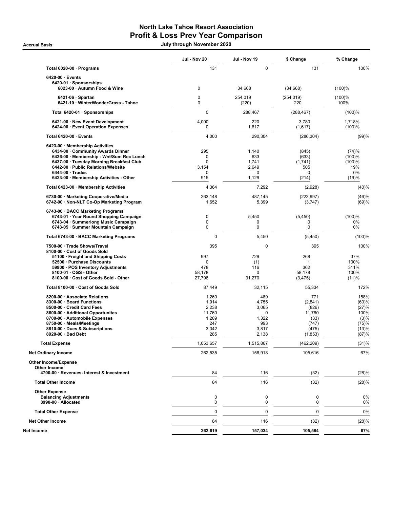## North Lake Tahoe Resort Association Profit & Loss Prev Year Comparison

Accrual Basis July through November 2020

|                                                                               | Jul - Nov 20         | Jul - Nov 19         | \$ Change              | % Change         |
|-------------------------------------------------------------------------------|----------------------|----------------------|------------------------|------------------|
| Total 6020-00 · Programs                                                      | 131                  | $\mathbf 0$          | 131                    | 100%             |
| $6420-00 \cdot$ Events                                                        |                      |                      |                        |                  |
| 6420-01 · Sponsorships<br>6023-00 · Autumn Food & Wine                        | 0                    | 34,668               | (34, 668)              | (100)%           |
| $6421-06 \cdot$ Spartan                                                       | 0                    | 254,019              | (254, 019)             | (100)%           |
| 6421-10 · WinterWonderGrass - Tahoe                                           | 0                    | (220)                | 220                    | 100%             |
| Total 6420-01 · Sponsorships                                                  | $\mathbf 0$          | 288,467              | (288, 467)             | (100)%           |
| 6421-00 · New Event Development<br>6424-00 · Event Operation Expenses         | 4,000<br>$\mathbf 0$ | 220<br>1,617         | 3,780<br>(1,617)       | 1,718%<br>(100)% |
| Total 6420-00 · Events                                                        | 4,000                | 290,304              | (286, 304)             | (99)%            |
| 6423-00 · Membership Activities                                               |                      |                      |                        |                  |
| 6434-00 Community Awards Dinner                                               | 295                  | 1,140                | (845)                  | (74)%            |
| 6436-00 · Membership - Wnt/Sum Rec Lunch                                      | 0                    | 633                  | (633)                  | (100)%           |
| 6437-00 · Tuesday Morning Breakfast Club                                      | $\Omega$             | 1,741                | (1,741)                | (100)%           |
| 6442-00 · Public Relations/Website<br>$6444-00 \cdot Trades$                  | 3,154<br>0           | 2,649<br>0           | 505<br>0               | 19%<br>0%        |
| 6423-00 · Membership Activities - Other                                       | 915                  | 1,129                | (214)                  | (19)%            |
| Total 6423-00 · Membership Activities                                         | 4,364                | 7,292                | (2,928)                | (40)%            |
| 6730-00 · Marketing Cooperative/Media                                         | 263,148              | 487,145              | (223, 997)             | (46)%            |
| 6742-00 · Non-NLT Co-Op Marketing Program                                     | 1,652                | 5,399                | (3,747)                | (69)%            |
| 6743-00 · BACC Marketing Programs                                             |                      |                      |                        |                  |
| 6743-01 · Year Round Shopping Campaign<br>6743-04 · Summerlong Music Campaign | 0<br>$\mathbf 0$     | 5,450<br>0           | (5,450)<br>$\mathbf 0$ | (100)%<br>0%     |
| 6743-05 · Summer Mountain Campaign                                            | $\mathbf 0$          | 0                    | 0                      | 0%               |
| Total 6743-00 · BACC Marketing Programs                                       | 0                    | 5,450                | (5, 450)               | (100)%           |
| 7500-00 · Trade Shows/Travel                                                  | 395                  | 0                    | 395                    | 100%             |
| 8100-00 · Cost of Goods Sold                                                  |                      | 729                  |                        |                  |
| 51100 · Freight and Shipping Costs<br>52500 · Purchase Discounts              | 997<br>$\mathbf 0$   | (1)                  | 268<br>$\mathbf{1}$    | 37%<br>100%      |
| 59900 · POS Inventory Adjustments                                             | 478                  | 116                  | 362                    | 311%             |
| 8100-01 · CGS - Other                                                         | 58,178               | 0                    | 58,178                 | 100%             |
| 8100-00 · Cost of Goods Sold - Other                                          | 27,796               | 31,270               | (3, 475)               | (11)%            |
| Total 8100-00 · Cost of Goods Sold                                            | 87,449               | 32,115               | 55,334                 | 172%             |
| 8200-00 · Associate Relations                                                 | 1,260                | 489                  | 771                    | 158%             |
| 8300-00 · Board Functions                                                     | 1,914                | 4,755                | (2,841)                | (60)%            |
| 8500-00 · Credit Card Fees                                                    | 2,238                | 3,065                | (826)                  | (27)%            |
| 8600-00 · Additional Opportunites                                             | 11,760               | $\mathbf 0$<br>1,322 | 11,760                 | 100%             |
| 8700-00 · Automobile Expenses<br>8750-00 · Meals/Meetings                     | 1,289<br>247         | 993                  | (33)<br>(747)          | (3)%<br>(75)%    |
| 8810-00 · Dues & Subscriptions                                                | 3,342                | 3,817                | (475)                  | (13)%            |
| 8920-00 · Bad Debt                                                            | 285                  | 2,138                | (1,853)                | (87)%            |
| <b>Total Expense</b>                                                          | 1,053,657            | 1,515,867            | (462,209)              | (31)%            |
| <b>Net Ordinary Income</b>                                                    | 262,535              | 156,918              | 105,616                | 67%              |
| <b>Other Income/Expense</b>                                                   |                      |                      |                        |                  |
| Other Income                                                                  |                      |                      |                        |                  |
| 4700-00 · Revenues- Interest & Investment                                     | 84                   | 116                  | (32)                   | (28)%            |
| <b>Total Other Income</b>                                                     | 84                   | 116                  | (32)                   | (28)%            |
| <b>Other Expense</b>                                                          |                      |                      |                        |                  |
| <b>Balancing Adjustments</b><br>8990-00 · Allocated                           | 0<br>0               | 0<br>0               | 0<br>0                 | 0%<br>0%         |
| <b>Total Other Expense</b>                                                    | 0                    | $\mathbf 0$          | 0                      | 0%               |
| <b>Net Other Income</b>                                                       | 84                   | 116                  | (32)                   | (28)%            |
| Net Income                                                                    | 262,619              | 157,034              | 105,584                | 67%              |
|                                                                               |                      |                      |                        |                  |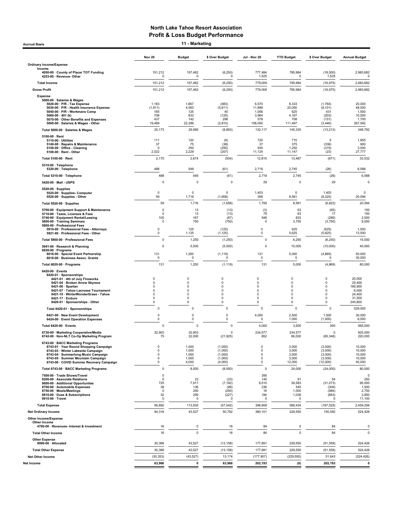Accrual Basis **11 - Marketing** 

|                                                                                                                                                                                                                                                                                | <b>Nov 20</b>                                                                                         | <b>Budget</b>                                 | \$ Over Budget                                      | Jul - Nov 20                                        | <b>YTD Budget</b>                                   | \$ Over Budget                                           | <b>Annual Budget</b>                                                |
|--------------------------------------------------------------------------------------------------------------------------------------------------------------------------------------------------------------------------------------------------------------------------------|-------------------------------------------------------------------------------------------------------|-----------------------------------------------|-----------------------------------------------------|-----------------------------------------------------|-----------------------------------------------------|----------------------------------------------------------|---------------------------------------------------------------------|
| <b>Ordinary Income/Expense</b><br>Income                                                                                                                                                                                                                                       |                                                                                                       |                                               |                                                     |                                                     |                                                     |                                                          |                                                                     |
| 4050-00 · County of Placer TOT Funding<br>4253-00 · Revenue- Other                                                                                                                                                                                                             | 151,212<br>0                                                                                          | 157,462<br>0                                  | (6, 250)<br>$\Omega$                                | 777,484<br>1,525                                    | 795,984<br>0                                        | (18,500)<br>1,525                                        | 2,983,682<br>$\Omega$                                               |
| <b>Total Income</b>                                                                                                                                                                                                                                                            | 151,212                                                                                               | 157,462                                       | (6, 250)                                            | 779,009                                             | 795,984                                             | (16, 975)                                                | 2,983,682                                                           |
| <b>Gross Profit</b>                                                                                                                                                                                                                                                            | 151,212                                                                                               | 157,462                                       | (6, 250)                                            | 779,009                                             | 795,984                                             | (16, 975)                                                | 2,983,682                                                           |
| <b>Expense</b><br>5000-00 · Salaries & Wages<br>5020-00 · P/R - Tax Expense<br>5030-00 · P/R - Health Insurance Expense<br>5040-00 · P/R - Workmans Comp<br>5060-00 $\cdot$ 401 (k)<br>5070-00 · Other Benefits and Expenses<br>5000-00 · Salaries & Wages - Other             | 1,183<br>(1, 811)<br>165<br>708<br>437<br>19,489                                                      | 1,667<br>4,000<br>125<br>833<br>142<br>22,299 | (483)<br>(5, 811)<br>40<br>(125)<br>296<br>(2,810)  | 6,570<br>11,899<br>1,056<br>3,964<br>578<br>108,050 | 8,333<br>20,000<br>625<br>4,167<br>708<br>111,497   | (1,764)<br>(8, 101)<br>431<br>(203)<br>(131)<br>(3, 446) | 20,000<br>48,000<br>1,500<br>10,000<br>1,700<br>267,592             |
| Total 5000-00 · Salaries & Wages                                                                                                                                                                                                                                               | 20,173                                                                                                | 29,066                                        | (8,893)                                             | 132,117                                             | 145,330                                             | (13, 213)                                                | 348,792                                                             |
| 5100-00 · Rent<br>5110-00 · Utilities<br>5140-00 · Repairs & Maintenance<br>5150-00 · Office - Cleaning<br>5100-00 · Rent - Other                                                                                                                                              | 111<br>37<br>0<br>2,022                                                                               | 120<br>75<br>250<br>2,229                     | (9)<br>(38)<br>(250)<br>(207)                       | 720<br>37<br>935<br>11,124                          | 715<br>375<br>1,250<br>11,147                       | 5<br>(338)<br>(315)<br>(23)                              | 1,855<br>900<br>3,000<br>27,777                                     |
| Total 5100-00 · Rent                                                                                                                                                                                                                                                           | 2,170                                                                                                 | 2,674                                         | (504)                                               | 12,815                                              | 13,487                                              | (671)                                                    | 33,532                                                              |
| 5310-00 · Telephone<br>5320-00 · Telephone                                                                                                                                                                                                                                     | 488                                                                                                   | 549                                           | (61)                                                | 2,719                                               | 2,745                                               | (26)                                                     | 6,588                                                               |
| Total 5310-00 · Telephone                                                                                                                                                                                                                                                      | 488                                                                                                   | 549                                           | (61)                                                | 2,719                                               | 2,745                                               | (26)                                                     | 6,588                                                               |
| 5420-00 · Mail - USPS                                                                                                                                                                                                                                                          | 0                                                                                                     | 0                                             | $\mathbf 0$                                         | 29                                                  | 0                                                   | 29                                                       | $\mathbf 0$                                                         |
| $5520-00 \cdot$ Supplies<br>5525-00 · Supplies- Computer<br>5520-00 · Supplies - Other                                                                                                                                                                                         | 0<br>59                                                                                               | 0<br>1,716                                    | 0<br>(1,658)                                        | 1,403<br>356                                        | 0<br>8,581                                          | 1,403<br>(8, 225)                                        | 0<br>20,594                                                         |
| Total 5520-00 · Supplies                                                                                                                                                                                                                                                       | 59                                                                                                    | 1,716                                         | (1,658)                                             | 1,759                                               | 8,581                                               | (6, 822)                                                 | 20,594                                                              |
| 5700-00 · Equipment Support & Maintenance<br>5710-00 · Taxes, Licenses & Fees<br>5740-00 · Equipment Rental/Leasing<br>5800-00 · Training Seminars<br>5900-00 · Professional Fees                                                                                              | $\mathsf 0$<br>0<br>100<br>0                                                                          | 13<br>13<br>167<br>750                        | (13)<br>(13)<br>(67)<br>(750)                       | (3)<br>79<br>548<br>0                               | 63<br>63<br>833<br>3,750                            | (65)<br>17<br>(285)<br>(3,750)                           | 150<br>150<br>2,000<br>9,000                                        |
| 5910-00 · Professional Fees - Attorneys<br>5921-00 · Professional Fees - Other                                                                                                                                                                                                 | 0<br>0                                                                                                | 125<br>1,125                                  | (125)<br>(1, 125)                                   | $\pmb{0}$<br>0                                      | 625<br>5,625                                        | (625)<br>(5,625)                                         | 1,500<br>13,500                                                     |
| Total 5900-00 · Professional Fees                                                                                                                                                                                                                                              | 0                                                                                                     | 1,250                                         | (1, 250)                                            | 0                                                   | 6,250                                               | (6, 250)                                                 | 15,000                                                              |
| 5941-00 · Research & Planning<br>$6020-00 \cdot$ Programs<br>6016-00 · Special Event Partnership                                                                                                                                                                               | 0<br>131                                                                                              | 5,000<br>1,250                                | (5,000)<br>(1, 119)                                 | 0<br>131                                            | 10,000<br>5,000                                     | (10,000)<br>(4,869)                                      | 40,000<br>50,000                                                    |
| 6018-00 · Business Assoc. Grants                                                                                                                                                                                                                                               | 0                                                                                                     | $\mathbf 0$                                   | $\mathbf 0$                                         | $\mathbf 0$                                         | 0                                                   | $\mathbf 0$                                              | 30,000                                                              |
| Total 6020-00 · Programs                                                                                                                                                                                                                                                       | 131                                                                                                   | 1,250                                         | (1, 119)                                            | 131                                                 | 5,000                                               | (4,869)                                                  | 80,000                                                              |
| 6420-00 · Events<br>6420-01 · Sponsorships<br>6421-01 · 4th of July Fireworks<br>6421-04 · Broken Arrow Skyrace<br>$6421-06 \cdot$ Spartan<br>6421-07 · Tahoe Lacrosse Tournament<br>6421-10 · WinterWonderGrass - Tahoe<br>6421-17 · Enduro<br>6420-01 · Sponsorships - Other | $\mathbf 0$<br>$\mathbf 0$<br>$\mathbf 0$<br>$\mathbf 0$<br>$\mathbf 0$<br>$\mathbf 0$<br>$\mathbf 0$ | $\mathbf 0$<br>0<br>0<br>0<br>0<br>0<br>0     | 0<br>0<br>0<br>0<br>0<br>0<br>0                     | 0<br>0<br>0<br>0<br>0<br>0<br>0                     | 0<br>0<br>$\mathbf 0$<br>$\mathbf 0$<br>0<br>0<br>0 | 0<br>0<br>0<br>0<br>0<br>0<br>0                          | 20,000<br>25,400<br>180,900<br>6,000<br>24,400<br>31,500<br>240,800 |
| Total 6420-01 · Sponsorships                                                                                                                                                                                                                                                   | $\mathbf 0$                                                                                           | $\mathbf 0$                                   | $\mathbf 0$                                         | $\mathbf 0$                                         | $\mathbf 0$                                         | $\mathbf 0$                                              | 529,000                                                             |
| 6421-00 · New Event Development<br>6424-00 · Event Operation Expenses                                                                                                                                                                                                          | 0<br>$\mathbf 0$                                                                                      | 0<br>0                                        | 0<br>0                                              | 4,000<br>0                                          | 2,500<br>1,000                                      | 1,500<br>(1,000)                                         | 30,000<br>6,000                                                     |
| Total 6420-00 · Events                                                                                                                                                                                                                                                         | 0                                                                                                     | 0                                             | $\mathbf 0$                                         | 4,000                                               | 3,500                                               | 500                                                      | 565,000                                                             |
| 6730-00 · Marketing Cooperative/Media<br>6742-00 · Non-NLT Co-Op Marketing Program                                                                                                                                                                                             | 32,903<br>75                                                                                          | 32,903<br>22,000                              | $\mathbf 0$<br>(21.925)                             | 234,577<br>652                                      | 234,577<br>66,000                                   | 0<br>(65, 348)                                           | 925,000<br>220,000                                                  |
| 6743-00 · BACC Marketing Programs<br>6743-01 · Year Round Shopping Campaign<br>6743-03 · Winter Lakeside Campaign<br>6743-04 · Summerlong Music Campaign<br>6743-05 · Summer Mountain Campaign<br>6743-06 · COVID Summer Recovery Campaign                                     | 0<br>0<br>0<br>0<br>0                                                                                 | 1,000<br>1,000<br>1,000<br>1,000<br>4,000     | (1,000)<br>(1,000)<br>(1,000)<br>(1,000)<br>(4,000) | $\mathbf 0$<br>$\mathbf 0$<br>0<br>0<br>0           | 3,000<br>3,000<br>3,000<br>3,000<br>12,000          | (3,000)<br>(3,000)<br>(3,000)<br>(3,000)<br>(12,000)     | 10,000<br>10,000<br>10,000<br>10,000<br>40,000                      |
| Total 6743-00 · BACC Marketing Programs                                                                                                                                                                                                                                        | 0                                                                                                     | 8,000                                         | (8,000)                                             | 0                                                   | 24,000                                              | (24,000)                                                 | 80,000                                                              |
| 7500-00 · Trade Shows/Travel<br>8200-00 · Associate Relations<br>8600-00 · Additional Opportunites<br>8700-00 · Automobile Expenses<br>8750-00 · Meals/Meetings<br>8810-00 · Dues & Subscriptions<br>8910-00 · Travel                                                          | $\mathsf 0$<br>$\pmb{0}$<br>725<br>38<br>$\mathbf 0$<br>32<br>0                                       | 23<br>7,917<br>136<br>250<br>259<br>0         | (23)<br>(7, 192)<br>(98)<br>(250)<br>(227)<br>n     | 395<br>145<br>8,510<br>236<br>16<br>184<br>0        | 91<br>39,583<br>545<br>1,000<br>1,036<br>0          | 54<br>(31,073)<br>(309)<br>(984)<br>(853)<br>$\Omega$    | $\mathbf 0$<br>250<br>95,000<br>1,500<br>2,750<br>2,850<br>11,100   |
| <b>Total Expense</b>                                                                                                                                                                                                                                                           | 56,892                                                                                                | 113,935                                       | (57, 042)                                           | 398,908                                             | 566,434                                             | (167, 525)                                               | 2,459,256                                                           |
| <b>Net Ordinary Income</b><br><b>Other Income/Expense</b><br>Other Income                                                                                                                                                                                                      | 94,319                                                                                                | 43,527                                        | 50,792                                              | 380,101                                             | 229,550                                             | 150,550                                                  | 524,426                                                             |
| 4700-00 · Revenues- Interest & Investment                                                                                                                                                                                                                                      | 16                                                                                                    | 0                                             | 16                                                  | 84                                                  | $\mathbf 0$                                         | 84                                                       | $\mathbf 0$                                                         |
| <b>Total Other Income</b>                                                                                                                                                                                                                                                      | 16                                                                                                    | $\mathbf 0$                                   | 16                                                  | 84                                                  | $\pmb{0}$                                           | 84                                                       | $\mathbf 0$                                                         |
| <b>Other Expense</b><br>8990-00 · Allocated                                                                                                                                                                                                                                    | 30,369                                                                                                | 43,527                                        | (13, 158)                                           | 177,991                                             | 229,550                                             | (51, 559)                                                | 524,426                                                             |
| <b>Total Other Expense</b>                                                                                                                                                                                                                                                     | 30,369                                                                                                | 43,527                                        | (13, 158)                                           | 177,991                                             | 229,550                                             | (51, 559)                                                | 524,426                                                             |
| Net Other Income                                                                                                                                                                                                                                                               | (30, 353)                                                                                             | (43, 527)                                     | 13,174                                              | (177, 907)                                          | (229, 550)                                          | 51,643                                                   | (524, 426)                                                          |
| Net Income                                                                                                                                                                                                                                                                     | 63,966                                                                                                | 0                                             | 63,966                                              | 202,193                                             | (0)                                                 | 202,193                                                  | $\mathbf 0$                                                         |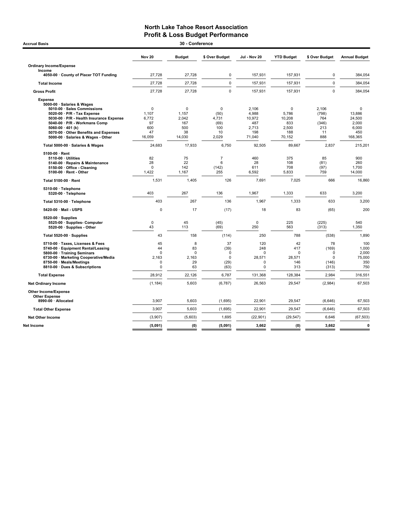| 30 - Conference<br><b>Accrual Basis</b>                                                                                                                                                                                                                                                           |                                                             |                                                   |                                                          |                                                           |                                                       |                                                             |                                                           |  |  |
|---------------------------------------------------------------------------------------------------------------------------------------------------------------------------------------------------------------------------------------------------------------------------------------------------|-------------------------------------------------------------|---------------------------------------------------|----------------------------------------------------------|-----------------------------------------------------------|-------------------------------------------------------|-------------------------------------------------------------|-----------------------------------------------------------|--|--|
|                                                                                                                                                                                                                                                                                                   | <b>Nov 20</b>                                               | <b>Budget</b>                                     | \$ Over Budget                                           | Jul - Nov 20                                              | <b>YTD Budget</b>                                     | \$ Over Budget                                              | <b>Annual Budget</b>                                      |  |  |
| <b>Ordinary Income/Expense</b><br>Income                                                                                                                                                                                                                                                          |                                                             |                                                   |                                                          |                                                           |                                                       |                                                             |                                                           |  |  |
| 4050-00 County of Placer TOT Funding                                                                                                                                                                                                                                                              | 27,728                                                      | 27,728                                            | $\mathbf 0$                                              | 157,931                                                   | 157,931                                               | $\mathbf 0$                                                 | 384,054                                                   |  |  |
| <b>Total Income</b>                                                                                                                                                                                                                                                                               | 27,728                                                      | 27,728                                            | $\mathsf 0$                                              | 157,931                                                   | 157,931                                               | $\pmb{0}$                                                   | 384,054                                                   |  |  |
| <b>Gross Profit</b>                                                                                                                                                                                                                                                                               | 27,728                                                      | 27,728                                            | $\mathbf 0$                                              | 157,931                                                   | 157,931                                               | $\mathbf 0$                                                 | 384,054                                                   |  |  |
| <b>Expense</b><br>5000-00 · Salaries & Wages<br>5010-00 · Sales Commissions<br>5020-00 · P/R - Tax Expense<br>5030-00 · P/R - Health Insurance Expense<br>5040-00 · P/R - Workmans Comp<br>5060-00 $\cdot$ 401 (k)<br>5070-00 · Other Benefits and Expenses<br>5000-00 · Salaries & Wages - Other | $\mathbf 0$<br>1,107<br>6,772<br>97<br>600<br>47<br>16,059  | 0<br>1,157<br>2,042<br>167<br>500<br>38<br>14,030 | 0<br>(50)<br>4,731<br>(69)<br>100<br>10<br>2,029         | 2,106<br>4,988<br>10,972<br>487<br>2,713<br>198<br>71,040 | 0<br>5,786<br>10,208<br>833<br>2,500<br>188<br>70,152 | 2,106<br>(798)<br>764<br>(346)<br>213<br>11<br>888          | 0<br>13,886<br>24,500<br>2,000<br>6,000<br>450<br>168,365 |  |  |
| Total 5000-00 · Salaries & Wages                                                                                                                                                                                                                                                                  | 24,683                                                      | 17,933                                            | 6,750                                                    | 92,505                                                    | 89,667                                                | 2,837                                                       | 215,201                                                   |  |  |
| $5100-00 \cdot$ Rent<br>5110-00 · Utilities<br>5140-00 · Repairs & Maintenance<br>5150-00 · Office - Cleaning<br>5100-00 · Rent - Other                                                                                                                                                           | 82<br>28<br>$\Omega$<br>1,422                               | 75<br>22<br>142<br>1,167                          | $\overline{7}$<br>6<br>(142)<br>255                      | 460<br>28<br>611<br>6,592                                 | 375<br>108<br>708<br>5,833                            | 85<br>(81)<br>(97)<br>759                                   | 900<br>260<br>1,700<br>14,000                             |  |  |
| Total 5100-00 · Rent                                                                                                                                                                                                                                                                              | 1,531                                                       | 1,405                                             | 126                                                      | 7,691                                                     | 7,025                                                 | 666                                                         | 16,860                                                    |  |  |
| 5310-00 · Telephone<br>5320-00 · Telephone                                                                                                                                                                                                                                                        | 403                                                         | 267                                               | 136                                                      | 1,967                                                     | 1,333                                                 | 633                                                         | 3,200                                                     |  |  |
| Total 5310-00 · Telephone                                                                                                                                                                                                                                                                         | 403                                                         | 267                                               | 136                                                      | 1,967                                                     | 1,333                                                 | 633                                                         | 3,200                                                     |  |  |
| 5420-00 Mail - USPS                                                                                                                                                                                                                                                                               | $\mathbf 0$                                                 | 17                                                | (17)                                                     | 18                                                        | 83                                                    | (65)                                                        | 200                                                       |  |  |
| $5520-00 \cdot$ Supplies<br>5525-00 · Supplies- Computer<br>5520-00 · Supplies - Other                                                                                                                                                                                                            | $\mathbf 0$<br>43                                           | 45<br>113                                         | (45)<br>(69)                                             | $\mathbf 0$<br>250                                        | 225<br>563                                            | (225)<br>(313)                                              | 540<br>1,350                                              |  |  |
| Total 5520-00 · Supplies                                                                                                                                                                                                                                                                          | 43                                                          | 158                                               | (114)                                                    | 250                                                       | 788                                                   | (538)                                                       | 1,890                                                     |  |  |
| 5710-00 · Taxes, Licenses & Fees<br>5740-00 · Equipment Rental/Leasing<br>5800-00 · Training Seminars<br>6730-00 · Marketing Cooperative/Media<br>8750-00 · Meals/Meetings<br>8810-00 · Dues & Subscriptions                                                                                      | 45<br>44<br>$\mathbf 0$<br>2,163<br>$\mathbf 0$<br>$\Omega$ | 8<br>83<br>$\mathbf 0$<br>2.163<br>29<br>63       | 37<br>(39)<br>$\mathbf 0$<br>$\mathbf 0$<br>(29)<br>(63) | 120<br>248<br>$\Omega$<br>28,571<br>0<br>$\mathbf 0$      | 42<br>417<br>0<br>28.571<br>146<br>313                | 78<br>(169)<br>$\mathbf 0$<br>$\mathbf 0$<br>(146)<br>(313) | 100<br>1,000<br>2,000<br>75,000<br>350<br>750             |  |  |
| <b>Total Expense</b>                                                                                                                                                                                                                                                                              | 28,912                                                      | 22,126                                            | 6,787                                                    | 131,368                                                   | 128,384                                               | 2,984                                                       | 316,551                                                   |  |  |
| <b>Net Ordinary Income</b>                                                                                                                                                                                                                                                                        | (1, 184)                                                    | 5,603                                             | (6,787)                                                  | 26,563                                                    | 29,547                                                | (2,984)                                                     | 67,503                                                    |  |  |
| Other Income/Expense<br><b>Other Expense</b><br>8990-00 · Allocated                                                                                                                                                                                                                               | 3,907                                                       | 5,603                                             | (1,695)                                                  | 22,901                                                    | 29,547                                                | (6,646)                                                     | 67,503                                                    |  |  |
|                                                                                                                                                                                                                                                                                                   | 3,907                                                       | 5,603                                             |                                                          | 22,901                                                    |                                                       |                                                             | 67,503                                                    |  |  |
| <b>Total Other Expense</b>                                                                                                                                                                                                                                                                        |                                                             |                                                   | (1,695)                                                  |                                                           | 29,547                                                | (6, 646)                                                    |                                                           |  |  |
| <b>Net Other Income</b>                                                                                                                                                                                                                                                                           | (3,907)                                                     | (5,603)                                           | 1,695                                                    | (22, 901)                                                 | (29, 547)                                             | 6,646                                                       | (67, 503)                                                 |  |  |
| <b>Net Income</b>                                                                                                                                                                                                                                                                                 | (5,091)                                                     | (0)                                               | (5,091)                                                  | 3,662                                                     | (0)                                                   | 3,662                                                       | $\mathbf{0}$                                              |  |  |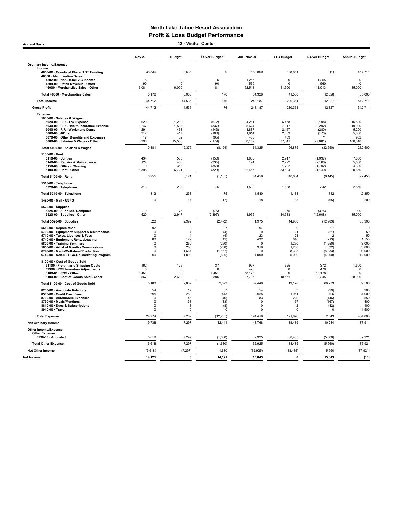Accrual Basis 42 - Visitor Center

|                                                                               | <b>Nov 20</b>           | <b>Budget</b>                    | \$ Over Budget | <b>Jul - Nov 20</b>   | <b>YTD Budget</b>  | \$ Over Budget                   | <b>Annual Budget</b> |
|-------------------------------------------------------------------------------|-------------------------|----------------------------------|----------------|-----------------------|--------------------|----------------------------------|----------------------|
| <b>Ordinary Income/Expense</b>                                                |                         |                                  |                |                       |                    |                                  |                      |
| Income                                                                        | 38,536                  | 38,536                           | $\mathbf 0$    | 188,860               | 188,861            |                                  | 457,711              |
| 4050-00 · County of Placer TOT Funding<br>46000 · Merchandise Sales           |                         |                                  |                |                       |                    | (1)                              |                      |
| 4502-00 · Non-Retail VIC income<br>4504-00 · Retail Revenue - Other           | 5<br>90                 | 0<br>$\Omega$                    | 5<br>90        | 1,255<br>560          | 0<br>$\Omega$      | 1,255<br>560                     | 0<br>$\mathbf 0$     |
| 46000 · Merchandise Sales - Other                                             | 6,081                   | 6,000                            | 81             | 52,513                | 41,500             | 11,013                           | 85,000               |
| Total 46000 · Merchandise Sales                                               | 6,176                   | 6,000                            | 176            | 54,328                | 41,500             | 12,828                           | 85,000               |
| <b>Total Income</b>                                                           | 44,712                  | 44,536                           | 176            | 243,187               | 230,361            | 12,827                           | 542,711              |
| <b>Gross Profit</b>                                                           | 44,712                  | 44,536                           | 176            | 243,187               | 230,361            | 12,827                           | 542,711              |
| <b>Expense</b>                                                                |                         |                                  |                |                       |                    |                                  |                      |
| 5000-00 · Salaries & Wages<br>5020-00 · P/R - Tax Expense                     | 620                     | 1,292                            | (672)          | 4,261                 | 6,458              | (2, 198)                         | 15,500               |
| 5030-00 · P/R - Health Insurance Expense                                      | 1,247                   | 1,583                            | (337)          | 5,624                 | 7,917              | (2, 292)                         | 19,000               |
| 5040-00 · P/R - Workmans Comp<br>5060-00 $\cdot$ 401 (k)                      | 291<br>317              | 433<br>417                       | (143)<br>(100) | 1,887<br>1,914        | 2,167<br>2,083     | (280)<br>(170)                   | 5,200<br>5,000       |
| 5070-00 · Other Benefits and Expenses                                         | 17                      | 82                               | (65)           | 480                   | 409                | 71                               | 982                  |
| 5000-00 · Salaries & Wages - Other                                            | 8,390                   | 15,568                           | (7, 179)       | 50,159                | 77,841             | (27, 681)                        | 186,818              |
| Total 5000-00 · Salaries & Wages                                              | 10,881                  | 19,375                           | (8, 494)       | 64,325                | 96,875             | (32, 550)                        | 232,500              |
| 5100-00 · Rent<br>5110-00 · Utilities                                         | 434                     | 583                              | (150)          | 1,880                 | 2,917              | (1,037)                          | 7,000                |
| 5140-00 · Repairs & Maintenance                                               | 124                     | 458                              | (335)          | 124                   | 2,292              | (2, 168)                         | 5,500                |
| 5150-00 · Office - Cleaning<br>5100-00 · Rent - Other                         | $\Omega$<br>6,398       | 358<br>6,721                     | (358)<br>(323) | $\mathbf 0$<br>32,455 | 1.792<br>33,604    | (1,792)<br>(1, 149)              | 4.300<br>80,650      |
| Total 5100-00 · Rent                                                          | 6,955                   | 8,121                            | (1, 165)       | 34,459                | 40,604             | (6, 145)                         | 97,450               |
| 5310-00 · Telephone                                                           |                         |                                  |                |                       |                    |                                  |                      |
| 5320-00 · Telephone                                                           | 313                     | 238                              | 75             | 1,530                 | 1,188              | 342                              | 2,850                |
| Total 5310-00 · Telephone                                                     | 313                     | 238                              | 75             | 1,530                 | 1,188              | 342                              | 2,850                |
| 5420-00 · Mail - USPS                                                         | $\Omega$                | 17                               | (17)           | 18                    | 83                 | (65)                             | 200                  |
| 5520-00 · Supplies<br>5525-00 · Supplies- Computer                            | $\mathbf 0$             | 75                               | (75)           | $\mathbf 0$           | 375                | (375)                            | 900                  |
| 5520-00 · Supplies - Other                                                    | 520                     | 2,917                            | (2, 397)       | 1,975                 | 14,583             | (12,608)                         | 35,000               |
| Total 5520-00 · Supplies                                                      | 520                     | 2,992                            | (2, 472)       | 1,975                 | 14,958             | (12, 983)                        | 35,900               |
| 5610-00 · Depreciation                                                        | 97                      | 0                                | 97             | 97                    | $\pmb{0}$          | 97                               | $\mathbf 0$          |
| 5700-00 · Equipment Support & Maintenance<br>5710-00 · Taxes, Licenses & Fees | $\mathbf 0$<br>$\Omega$ | $\overline{4}$<br>$\overline{4}$ | (4)<br>(4)     | $\mathbf 0$<br>23     | 21<br>21           | (21)<br>$\overline{\phantom{0}}$ | 50<br>50             |
| 5740-00 · Equipment Rental/Leasing                                            | 80                      | 129                              | (49)           | 432                   | 646                | (213)                            | 1,550                |
| 5800-00 · Training Seminars<br>5850-00 · Artist of Month - Commissions        | $\Omega$<br>$\mathbf 0$ | 250<br>250                       | (250)<br>(250) | $\Omega$<br>918       | 1,250<br>1.250     | (1,250)<br>(332)                 | 3,000<br>3.000       |
| 6740-00 · Media/Collateral/Production                                         | $\Omega$                | 1,667                            | (1,667)        | $\Omega$              | 8,333              | (8, 333)                         | 20,000               |
| 6742-00 · Non-NLT Co-Op Marketing Program                                     | 200                     | 1,000                            | (800)          | 1,000                 | 5,000              | (4,000)                          | 12,000               |
| 8100-00 · Cost of Goods Sold<br>51100 · Freight and Shipping Costs            | 162                     | 125                              | 37             | 997                   | 625                | 372                              | 1,500                |
| 59900 · POS Inventory Adjustments                                             | $\mathbf 0$             | $\mathbf 0$                      | $\mathbf 0$    | 478                   | $\mathbf 0$        | 478                              | $\mathbf 0$          |
| 8100-01 · CGS - Other<br>8100-00 · Cost of Goods Sold - Other                 | 1,451<br>3,567          | 0<br>2,682                       | 1,451<br>885   | 58,178<br>27,796      | $\Omega$<br>18,551 | 58,178<br>9,245                  | $\Omega$<br>38,000   |
| Total 8100-00 · Cost of Goods Sold                                            | 5,180                   | 2,807                            | 2,373          | 87,449                | 19,176             | 68,273                           | 39,500               |
| 8200-00 · Associate Relations                                                 | 54                      | 17                               | 37             | 54                    | 83                 | (29)                             | 200                  |
| 8500-00 · Credit Card Fees                                                    | 695                     | 282                              | 413            | 2,055                 | 1.951              | 105                              | 4.000                |
| 8700-00 · Automobile Expenses<br>8750-00 · Meals/Meetings                     | $\mathbf 0$<br>$\Omega$ | 46<br>33                         | (46)<br>(33)   | 83<br>$^{\circ}$      | 229<br>167         | (146)<br>(167)                   | 550<br>400           |
| 8810-00 · Dues & Subscriptions                                                | $\mathbf 0$             | 8                                | (8)            | $\Omega$              | 42                 | (42)                             | 100                  |
| 8910-00 · Travel                                                              | $\Omega$                | $\mathbf 0$                      | $\mathbf 0$    | $\Omega$              | $\mathbf 0$        | $\Omega$                         | 1,500                |
| <b>Total Expense</b>                                                          | 24,974                  | 37,239                           | (12, 265)      | 194,419               | 191,876            | 2,543                            | 454.800              |
| <b>Net Ordinary Income</b>                                                    | 19,738                  | 7,297                            | 12,441         | 48,768                | 38,485             | 10,284                           | 87,911               |
| <b>Other Income/Expense</b><br><b>Other Expense</b>                           |                         |                                  |                |                       |                    |                                  |                      |
| 8990-00 · Allocated                                                           | 5,618                   | 7,297                            | (1,680)        | 32,925                | 38,485             | (5,560)                          | 87,921               |
| <b>Total Other Expense</b>                                                    | 5,618                   | 7,297                            | (1,680)        | 32,925                | 38,485             | (5,560)                          | 87,921               |
| <b>Net Other Income</b>                                                       | (5,618)                 | (7, 297)                         | 1,680          | (32, 925)             | (38, 485)          | 5,560                            | (87, 921)            |
| Net Income                                                                    | 14,121                  | 0                                | 14,121         | 15,843                | 0                  | 15,843                           | (10)                 |
|                                                                               |                         |                                  |                |                       |                    |                                  |                      |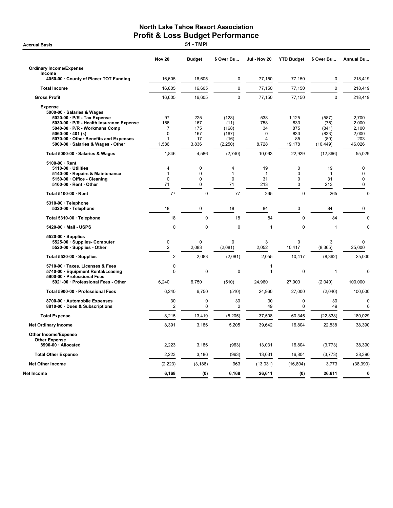**Accrual Basis** 

|                                                                                                                                                                                                                                                                    | <b>Nov 20</b>                     | <b>Budget</b>                           | \$ Over Bu                                          | <b>Jul - Nov 20</b>                           | <b>YTD Budget</b>                                     | \$ Over Bu                                           | <b>Annual Bu</b>                                  |
|--------------------------------------------------------------------------------------------------------------------------------------------------------------------------------------------------------------------------------------------------------------------|-----------------------------------|-----------------------------------------|-----------------------------------------------------|-----------------------------------------------|-------------------------------------------------------|------------------------------------------------------|---------------------------------------------------|
| <b>Ordinary Income/Expense</b>                                                                                                                                                                                                                                     |                                   |                                         |                                                     |                                               |                                                       |                                                      |                                                   |
| Income<br>4050-00 · County of Placer TOT Funding                                                                                                                                                                                                                   | 16,605                            | 16,605                                  | 0                                                   | 77,150                                        | 77,150                                                | 0                                                    | 218,419                                           |
| <b>Total Income</b>                                                                                                                                                                                                                                                | 16,605                            | 16,605                                  | $\pmb{0}$                                           | 77,150                                        | 77,150                                                | $\pmb{0}$                                            | 218,419                                           |
| <b>Gross Profit</b>                                                                                                                                                                                                                                                | 16,605                            | 16,605                                  | $\mathbf{0}$                                        | 77,150                                        | 77,150                                                | $\mathbf 0$                                          | 218.419                                           |
| <b>Expense</b><br>5000-00 · Salaries & Wages<br>5020-00 · P/R - Tax Expense<br>5030-00 · P/R - Health Insurance Expense<br>5040-00 · P/R - Workmans Comp<br>5060-00 $\cdot$ 401 (k)<br>5070-00 · Other Benefits and Expenses<br>5000-00 · Salaries & Wages - Other | 97<br>156<br>7<br>0<br>1<br>1,586 | 225<br>167<br>175<br>167<br>17<br>3,836 | (128)<br>(11)<br>(168)<br>(167)<br>(16)<br>(2, 250) | 538<br>758<br>34<br>$\mathbf 0$<br>Δ<br>8,728 | 1,125<br>833<br>875<br>833<br>85<br>19,178            | (587)<br>(75)<br>(841)<br>(833)<br>(80)<br>(10, 449) | 2,700<br>2,000<br>2,100<br>2,000<br>203<br>46,026 |
| Total 5000-00 · Salaries & Wages                                                                                                                                                                                                                                   | 1,846                             | 4,586                                   | (2,740)                                             | 10,063                                        | 22,929                                                | (12, 866)                                            | 55,029                                            |
| 5100-00 · Rent<br>5110-00 · Utilities<br>5140-00 · Repairs & Maintenance<br>5150-00 · Office - Cleaning<br>5100-00 · Rent - Other                                                                                                                                  | 4<br>1<br>$\mathbf 0$<br>71       | 0<br>$\overline{0}$<br>0<br>0           | 4<br>$\mathbf{1}$<br>$\mathbf 0$<br>71              | 19<br>$\mathbf{1}$<br>31<br>213               | $\mathbf 0$<br>$\mathbf 0$<br>$\mathbf 0$<br>$\Omega$ | 19<br>1<br>31<br>213                                 | 0<br>$\mathbf 0$<br>$\mathbf 0$<br>$\pmb{0}$      |
| Total 5100-00 · Rent                                                                                                                                                                                                                                               | 77                                | $\mathbf 0$                             | 77                                                  | 265                                           | $\mathbf 0$                                           | 265                                                  | $\mathbf 0$                                       |
| 5310-00 · Telephone<br>5320-00 · Telephone                                                                                                                                                                                                                         | 18                                | 0                                       | 18                                                  | 84                                            | $\mathbf 0$                                           | 84                                                   | 0                                                 |
| Total 5310-00 · Telephone                                                                                                                                                                                                                                          | 18                                | 0                                       | 18                                                  | 84                                            | $\mathbf 0$                                           | 84                                                   | $\mathbf 0$                                       |
| 5420-00 · Mail - USPS                                                                                                                                                                                                                                              | $\mathbf 0$                       | $\mathbf 0$                             | $\mathbf 0$                                         | $\mathbf{1}$                                  | $\mathbf 0$                                           | $\mathbf{1}$                                         | $\Omega$                                          |
| $5520-00 \cdot$ Supplies<br>5525-00 · Supplies- Computer<br>5520-00 · Supplies - Other                                                                                                                                                                             | 0<br>$\overline{2}$               | 0<br>2,083                              | 0<br>(2,081)                                        | 3<br>2,052                                    | $\mathbf 0$<br>10,417                                 | 3<br>(8, 365)                                        | 0<br>25,000                                       |
| Total 5520-00 · Supplies                                                                                                                                                                                                                                           | $\overline{2}$                    | 2,083                                   | (2,081)                                             | 2,055                                         | 10,417                                                | (8, 362)                                             | 25,000                                            |
| 5710-00 · Taxes, Licenses & Fees<br>5740-00 · Equipment Rental/Leasing<br>5900-00 · Professional Fees<br>5921-00 · Professional Fees - Other                                                                                                                       | 0<br>$\mathbf 0$<br>6,240         | $\mathbf 0$<br>6,750                    | $\pmb{0}$<br>(510)                                  | $\mathbf{1}$<br>$\mathbf{1}$<br>24,960        | $\pmb{0}$<br>27,000                                   | $\mathbf{1}$<br>(2,040)                              | 0<br>100,000                                      |
| Total 5900-00 · Professional Fees                                                                                                                                                                                                                                  | 6,240                             | 6,750                                   | (510)                                               | 24,960                                        | 27,000                                                | (2,040)                                              | 100,000                                           |
| 8700-00 · Automobile Expenses<br>8810-00 · Dues & Subscriptions                                                                                                                                                                                                    | 30<br>$\overline{2}$              | 0<br>0                                  | 30<br>$\overline{2}$                                | 30<br>49                                      | 0<br>$\mathbf 0$                                      | 30<br>49                                             | $\mathbf 0$<br>$\mathbf 0$                        |
| <b>Total Expense</b>                                                                                                                                                                                                                                               | 8,215                             | 13,419                                  | (5,205)                                             | 37,508                                        | 60,345                                                | (22, 838)                                            | 180,029                                           |
| <b>Net Ordinary Income</b>                                                                                                                                                                                                                                         | 8,391                             | 3,186                                   | 5,205                                               | 39,642                                        | 16,804                                                | 22,838                                               | 38,390                                            |
| <b>Other Income/Expense</b><br><b>Other Expense</b>                                                                                                                                                                                                                |                                   |                                         |                                                     |                                               |                                                       |                                                      |                                                   |
| 8990-00 · Allocated                                                                                                                                                                                                                                                | 2,223                             | 3,186                                   | (963)                                               | 13,031                                        | 16,804                                                | (3,773)                                              | 38,390                                            |
| <b>Total Other Expense</b>                                                                                                                                                                                                                                         | 2,223                             | 3,186                                   | (963)                                               | 13,031                                        | 16,804                                                | (3, 773)                                             | 38,390                                            |
| <b>Net Other Income</b>                                                                                                                                                                                                                                            | (2, 223)                          | (3, 186)                                | 963                                                 | (13,031)                                      | (16, 804)                                             | 3,773                                                | (38, 390)                                         |
| Net Income                                                                                                                                                                                                                                                         | 6,168                             | (0)                                     | 6,168                                               | 26,611                                        | (0)                                                   | 26,611                                               | 0                                                 |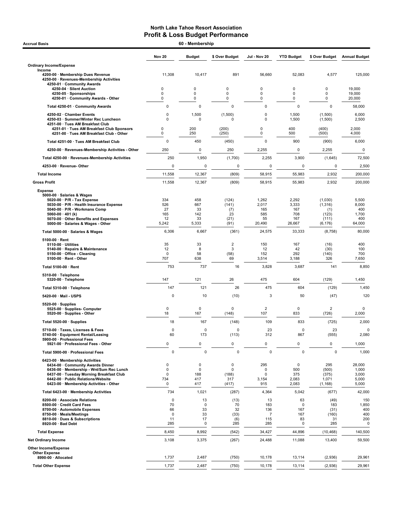| 60 - Membership<br><b>Accrual Basis</b>                                                                               |                |                    |                  |                                |                   |                     |                      |
|-----------------------------------------------------------------------------------------------------------------------|----------------|--------------------|------------------|--------------------------------|-------------------|---------------------|----------------------|
|                                                                                                                       | <b>Nov 20</b>  | <b>Budget</b>      | \$ Over Budget   | Jul - Nov 20                   | <b>YTD Budget</b> | \$ Over Budget      | <b>Annual Budget</b> |
| <b>Ordinary Income/Expense</b>                                                                                        |                |                    |                  |                                |                   |                     |                      |
| Income<br>4200-00 · Membership Dues Revenue<br>4250-00 · Revenues-Membership Activities<br>4250-01 · Community Awards | 11,308         | 10,417             | 891              | 56,660                         | 52,083            | 4,577               | 125,000              |
| 4250-04 · Silent Auction                                                                                              | 0<br>0         | 0<br>0             | 0<br>$\mathbf 0$ | $\pmb{0}$<br>$\mathbf 0$       | 0<br>0            | 0<br>0              | 19,000<br>19,000     |
| 4250-05 · Sponsorships<br>4250-01 Community Awards - Other                                                            | 0              | 0                  | 0                | $\mathbf 0$                    | 0                 | 0                   | 20,000               |
| Total 4250-01 · Community Awards                                                                                      | 0              | 0                  | 0                | 0                              | $\pmb{0}$         | 0                   | 58,000               |
| 4250-02 · Chamber Events                                                                                              | 0              | 1,500              | (1,500)          | $\mathbf 0$                    | 1,500             | (1,500)             | 6,000                |
| 4250-03 · Summer/Winter Rec Luncheon<br>4251-00 · Tues AM Breakfast Club                                              | $\Omega$       | $\mathbf 0$        | 0                | $\mathbf 0$                    | 1,500             | (1,500)             | 2,500                |
| 4251-01 · Tues AM Breakfast Club Sponsors<br>4251-00 · Tues AM Breakfast Club - Other                                 | 0<br>0         | 200<br>250         | (200)<br>(250)   | $\mathbf 0$<br>$\mathbf 0$     | 400<br>500        | (400)<br>(500)      | 2,000<br>4,000       |
| Total 4251-00 · Tues AM Breakfast Club                                                                                | $\mathbf 0$    | 450                | (450)            | $\mathbf 0$                    | 900               | (900)               | 6,000                |
| 4250-00 · Revenues-Membership Activities - Other                                                                      | 250            | $\mathbf 0$        | 250              | 2,255                          | 0                 | 2,255               | 0                    |
| Total 4250-00 · Revenues-Membership Activities                                                                        | 250            | 1,950              | (1,700)          | 2,255                          | 3,900             | (1,645)             | 72,500               |
| 4253-00 · Revenue- Other                                                                                              | 0              | 0                  | 0                | 0                              | $\mathbf 0$       | 0                   | 2,500                |
| <b>Total Income</b>                                                                                                   | 11,558         | 12,367             | (809)            | 58,915                         | 55,983            | 2,932               | 200,000              |
|                                                                                                                       |                |                    |                  |                                |                   |                     |                      |
| <b>Gross Profit</b>                                                                                                   | 11,558         | 12,367             | (809)            | 58,915                         | 55,983            | 2,932               | 200,000              |
| <b>Expense</b><br>5000-00 · Salaries & Wages                                                                          |                |                    |                  |                                |                   |                     |                      |
| $5020-00 \cdot P/R$ - Tax Expense<br>5030-00 · P/R - Health Insurance Expense                                         | 334<br>526     | 458<br>667         | (124)<br>(141)   | 1,262<br>2,017                 | 2,292<br>3,333    | (1,030)<br>(1, 316) | 5,500<br>8,000       |
| 5040-00 · P/R - Workmans Comp                                                                                         | 27             | 33                 | (7)              | 165                            | 167               | (1)                 | 400                  |
| 5060-00 $\cdot$ 401 (k)<br>5070-00 · Other Benefits and Expenses                                                      | 165<br>12      | 142<br>33          | 23<br>(21)       | 585<br>55                      | 708<br>167        | (123)<br>(111)      | 1,700<br>400         |
| 5000-00 · Salaries & Wages - Other                                                                                    | 5,242          | 5,333              | (91)             | 20,490                         | 26,667            | (6, 176)            | 64,000               |
| Total 5000-00 · Salaries & Wages                                                                                      | 6,306          | 6,667              | (361)            | 24,575                         | 33,333            | (8,758)             | 80,000               |
| $5100-00 \cdot$ Rent                                                                                                  |                |                    |                  |                                |                   |                     |                      |
| $5110-00 \cdot$ Utilities<br>5140-00 · Repairs & Maintenance                                                          | 35<br>12       | 33<br>8            | 2<br>3           | 150<br>12                      | 167<br>42         | (16)<br>(30)        | 400<br>100           |
| 5150-00 · Office - Cleaning                                                                                           | $\mathbf 0$    | 58                 | (58)             | 152                            | 292               | (140)               | 700                  |
| 5100-00 · Rent - Other                                                                                                | 707            | 638                | 69               | 3,514                          | 3,188             | 326                 | 7,650                |
| Total 5100-00 · Rent                                                                                                  | 753            | 737                | 16               | 3,828                          | 3,687             | 141                 | 8,850                |
| 5310-00 · Telephone<br>5320-00 · Telephone                                                                            | 147            | 121                | 26               | 475                            | 604               | (129)               | 1,450                |
| Total 5310-00 · Telephone                                                                                             | 147            | 121                | 26               | 475                            | 604               | (129)               | 1,450                |
| 5420-00 · Mail - USPS                                                                                                 | 0              | 10                 | (10)             | 3                              | 50                | (47)                | 120                  |
| $5520-00 \cdot$ Supplies                                                                                              |                |                    |                  |                                |                   |                     |                      |
| 5525 00 · Supplies Computer<br>5520-00 · Supplies - Other                                                             | 0<br>18        | $\mathbf 0$<br>167 | 0<br>(148)       | $\overline{\mathbf{c}}$<br>107 | 0<br>833          | 2<br>(726)          | 0<br>2,000           |
| Total 5520-00 · Supplies                                                                                              | 18             | 167                | (148)            | 109                            | 833               | (725)               | 2,000                |
| 5710-00 · Taxes, Licenses & Fees                                                                                      | $\mathbf 0$    | 0                  | $\pmb{0}$        | 23                             | $\mathbf 0$       | 23                  | 0                    |
| 5740-00 · Equipment Rental/Leasing<br>5900-00 · Professional Fees                                                     | 60             | 173                | (113)            | 312                            | 867               | (555)               | 2,080                |
| 5921-00 · Professional Fees - Other                                                                                   | 0              | $\pmb{0}$          | 0                | 0                              | $\pmb{0}$         | 0                   | 1,000                |
| Total 5900-00 · Professional Fees                                                                                     | 0              | $\pmb{0}$          | $\mathbf 0$      | $\mathbf 0$                    | $\mathbf 0$       | 0                   | 1,000                |
| 6423-00 · Membership Activities                                                                                       |                |                    |                  |                                |                   |                     |                      |
| 6434-00 Community Awards Dinner<br>6436-00 · Membership - Wnt/Sum Rec Lunch                                           | 0<br>0         | 0<br>0             | 0<br>0           | 295<br>$\mathbf 0$             | 0<br>500          | 295<br>(500)        | 28,000<br>1,000      |
| 6437-00 · Tuesday Morning Breakfast Club                                                                              | 0              | 188                | (188)            | 0                              | 375               | (375)               | 3,000                |
| 6442-00 · Public Relations/Website<br>6423-00 · Membership Activities - Other                                         | 734<br>0       | 417<br>417         | 317<br>(417)     | 3,154<br>915                   | 2,083<br>2,083    | 1,071<br>(1, 168)   | 5,000<br>5,000       |
| Total 6423-00 · Membership Activities                                                                                 | 734            | 1,021              | (287)            | 4,364                          | 5,042             | (677)               | 42,000               |
| 8200-00 · Associate Relations                                                                                         | 0              | 13                 | (13)             | 13                             | 63                | (49)                | 150                  |
| 8500-00 · Credit Card Fees                                                                                            | 70             | 0                  | 70               | 183                            | $\mathbf 0$       | 183                 | 1,850                |
| 8700-00 · Automobile Expenses<br>8750-00 · Meals/Meetings                                                             | 66<br>0        | 33<br>33           | 32<br>(33)       | 136<br>$\overline{7}$          | 167<br>167        | (31)<br>(160)       | 400<br>400           |
| 8810-00 · Dues & Subscriptions                                                                                        | 11             | 17                 | (6)              | 115                            | 83                | 31                  | 200                  |
| 8920-00 · Bad Debt                                                                                                    | 285            | 0                  | 285              | 285                            | 0                 | 285                 | 0                    |
| <b>Total Expense</b><br><b>Net Ordinary Income</b>                                                                    | 8,450<br>3,108 | 8,992<br>3,375     | (542)<br>(267)   | 34,427<br>24,488               | 44,896<br>11,088  | (10, 468)<br>13,400 | 140,500<br>59,500    |
| Other Income/Expense                                                                                                  |                |                    |                  |                                |                   |                     |                      |
| <b>Other Expense</b>                                                                                                  |                |                    |                  |                                |                   |                     |                      |
| 8990-00 · Allocated                                                                                                   | 1,737          | 2,487              | (750)            | 10,178                         | 13,114            | (2,936)             | 29,961               |
| <b>Total Other Expense</b>                                                                                            | 1,737          | 2,487              | (750)            | 10,178                         | 13,114            | (2,936)             | 29,961               |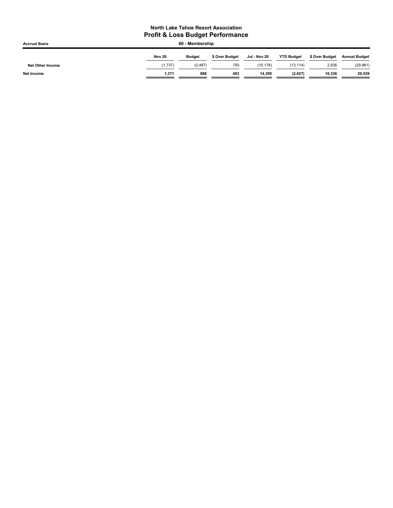| <b>Accrual Basis</b>    | 60 - Membership |               |                |              |                   |                |                      |  |
|-------------------------|-----------------|---------------|----------------|--------------|-------------------|----------------|----------------------|--|
|                         | Nov 20          | <b>Budget</b> | \$ Over Budget | Jul - Nov 20 | <b>YTD Budget</b> | \$ Over Budget | <b>Annual Budget</b> |  |
| <b>Net Other Income</b> | (1,737)         | (2, 487)      | 750            | (10, 178)    | (13, 114)         | 2,936          | (29, 961)            |  |
| <b>Net Income</b>       | 1.371           | 888           | 483            | 14.309       | (2,027)           | 16,336         | 29,539               |  |